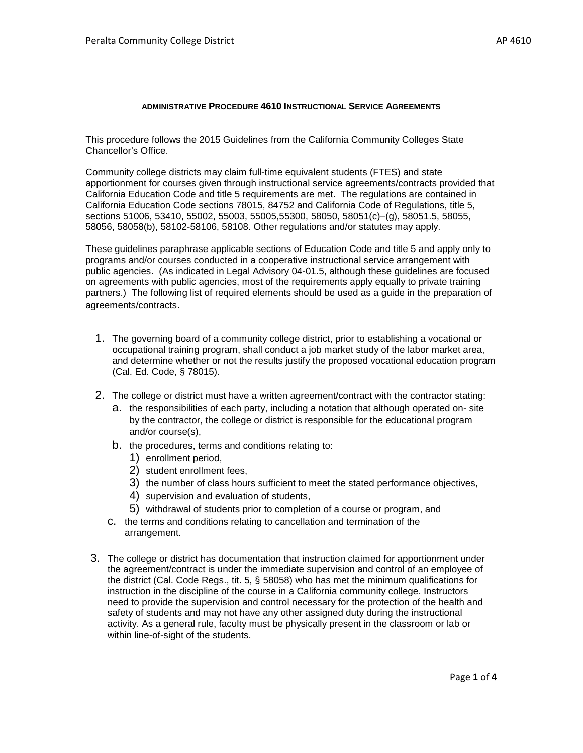## **ADMINISTRATIVE PROCEDURE 4610 INSTRUCTIONAL SERVICE AGREEMENTS**

This procedure follows the 2015 Guidelines from the California Community Colleges State Chancellor's Office.

Community college districts may claim full-time equivalent students (FTES) and state apportionment for courses given through instructional service agreements/contracts provided that California Education Code and title 5 requirements are met. The regulations are contained in California Education Code sections 78015, 84752 and California Code of Regulations, title 5, sections 51006, 53410, 55002, 55003, 55005,55300, 58050, 58051(c)–(g), 58051.5, 58055, 58056, 58058(b), 58102-58106, 58108. Other regulations and/or statutes may apply.

These guidelines paraphrase applicable sections of Education Code and title 5 and apply only to programs and/or courses conducted in a cooperative instructional service arrangement with public agencies. (As indicated in Legal Advisory 04-01.5, although these guidelines are focused on agreements with public agencies, most of the requirements apply equally to private training partners.) The following list of required elements should be used as a guide in the preparation of agreements/contracts.

- 1. The governing board of a community college district, prior to establishing a vocational or occupational training program, shall conduct a job market study of the labor market area, and determine whether or not the results justify the proposed vocational education program (Cal. Ed. Code, § 78015).
- 2. The college or district must have a written agreement/contract with the contractor stating:
	- a. the responsibilities of each party, including a notation that although operated on- site by the contractor, the college or district is responsible for the educational program and/or course(s),
	- b. the procedures, terms and conditions relating to:
		- 1) enrollment period,
		- 2) student enrollment fees,
		- 3) the number of class hours sufficient to meet the stated performance objectives,
		- 4) supervision and evaluation of students,
		- 5) withdrawal of students prior to completion of a course or program, and
	- c. the terms and conditions relating to cancellation and termination of the arrangement.
- 3. The college or district has documentation that instruction claimed for apportionment under the agreement/contract is under the immediate supervision and control of an employee of the district (Cal. Code Regs., tit. 5, § 58058) who has met the minimum qualifications for instruction in the discipline of the course in a California community college. Instructors need to provide the supervision and control necessary for the protection of the health and safety of students and may not have any other assigned duty during the instructional activity. As a general rule, faculty must be physically present in the classroom or lab or within line-of-sight of the students.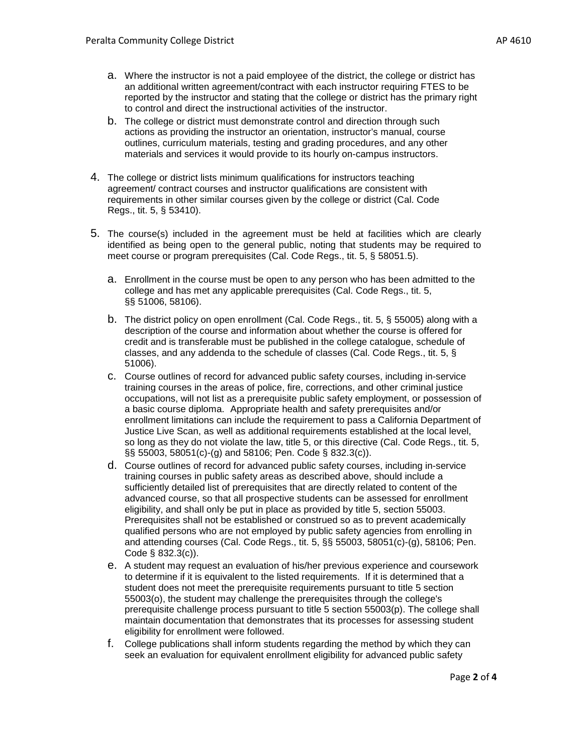- a. Where the instructor is not a paid employee of the district, the college or district has an additional written agreement/contract with each instructor requiring FTES to be reported by the instructor and stating that the college or district has the primary right to control and direct the instructional activities of the instructor.
- b. The college or district must demonstrate control and direction through such actions as providing the instructor an orientation, instructor's manual, course outlines, curriculum materials, testing and grading procedures, and any other materials and services it would provide to its hourly on-campus instructors.
- 4. The college or district lists minimum qualifications for instructors teaching agreement/ contract courses and instructor qualifications are consistent with requirements in other similar courses given by the college or district (Cal. Code Regs., tit. 5, § 53410).
- 5. The course(s) included in the agreement must be held at facilities which are clearly identified as being open to the general public, noting that students may be required to meet course or program prerequisites (Cal. Code Regs., tit. 5, § 58051.5).
	- a. Enrollment in the course must be open to any person who has been admitted to the college and has met any applicable prerequisites (Cal. Code Regs., tit. 5, §§ 51006, 58106).
	- b. The district policy on open enrollment (Cal. Code Regs., tit. 5, § 55005) along with a description of the course and information about whether the course is offered for credit and is transferable must be published in the college catalogue, schedule of classes, and any addenda to the schedule of classes (Cal. Code Regs., tit. 5, § 51006).
	- c. Course outlines of record for advanced public safety courses, including in-service training courses in the areas of police, fire, corrections, and other criminal justice occupations, will not list as a prerequisite public safety employment, or possession of a basic course diploma. Appropriate health and safety prerequisites and/or enrollment limitations can include the requirement to pass a California Department of Justice Live Scan, as well as additional requirements established at the local level, so long as they do not violate the law, title 5, or this directive (Cal. Code Regs., tit. 5, §§ 55003, 58051(c)-(g) and 58106; Pen. Code § 832.3(c)).
	- d. Course outlines of record for advanced public safety courses, including in-service training courses in public safety areas as described above, should include a sufficiently detailed list of prerequisites that are directly related to content of the advanced course, so that all prospective students can be assessed for enrollment eligibility, and shall only be put in place as provided by title 5, section 55003. Prerequisites shall not be established or construed so as to prevent academically qualified persons who are not employed by public safety agencies from enrolling in and attending courses (Cal. Code Regs., tit. 5, §§ 55003, 58051(c)-(g), 58106; Pen. Code § 832.3(c)).
	- e. A student may request an evaluation of his/her previous experience and coursework to determine if it is equivalent to the listed requirements. If it is determined that a student does not meet the prerequisite requirements pursuant to title 5 section 55003(o), the student may challenge the prerequisites through the college's prerequisite challenge process pursuant to title 5 section 55003(p). The college shall maintain documentation that demonstrates that its processes for assessing student eligibility for enrollment were followed.
	- f. College publications shall inform students regarding the method by which they can seek an evaluation for equivalent enrollment eligibility for advanced public safety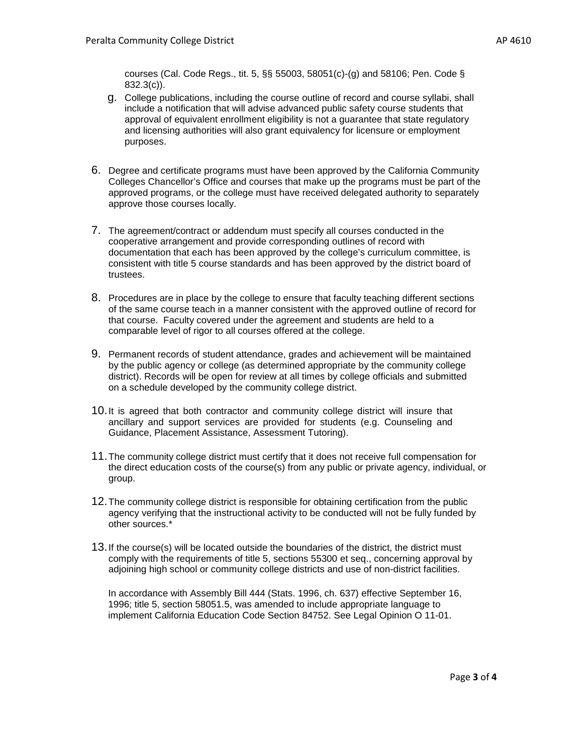courses (Cal. Code Regs., tit. 5, §§ 55003, 58051(c)-(g) and 58106; Pen. Code § 832.3(c)).

- g. College publications, including the course outline of record and course syllabi, shall include a notification that will advise advanced public safety course students that approval of equivalent enrollment eligibility is not a guarantee that state regulatory and licensing authorities will also grant equivalency for licensure or employment purposes.
- 6. Degree and certificate programs must have been approved by the California Community Colleges Chancellor's Office and courses that make up the programs must be part of the approved programs, or the college must have received delegated authority to separately approve those courses locally.
- 7. The agreement/contract or addendum must specify all courses conducted in the cooperative arrangement and provide corresponding outlines of record with documentation that each has been approved by the college's curriculum committee, is consistent with title 5 course standards and has been approved by the district board of trustees.
- <span id="page-2-0"></span>8. Procedures are in place by the college to ensure that faculty teaching different sections of the same course teach in a manner consistent with the approved outline of record for that course. Faculty covered under the agreement and students are held to a comparable level of rigor to all courses offered at the college.
- 9. Permanent records of student attendance, grades and achievement will be maintained by the public agency or college (as determined appropriate by the community college district). Records will be open for review at all times by college officials and submitted on a schedule developed by the community college district.
- 10.It is agreed that both contractor and community college district will insure that ancillary and support services are provided for students (e.g. Counseling and Guidance, Placement Assistance, Assessment Tutoring).
- 11.The community college district must certify that it does not receive full compensation for the direct education costs of the course(s) from any public or private agency, individual, or group.
- 12.The community college district is responsible for obtaining certification from the public agency verifying that the instructional activity to be conducted will not be fully funded by other sources.\*
- 13.If the course(s) will be located outside the boundaries of the district, the district must comply with the requirements of title 5, sections 55300 et seq., concerning approval by adjoining high school or community college districts and use of non-district facilities.

In accordance with Assembly Bill 444 (Stats. 1996, ch. 637) effective September 16, 1996; title 5, section 58051.5, was amended to include appropriate language to implement California Education Code Section 84752. See Legal Opinion O 11[-01.](#page-2-0)